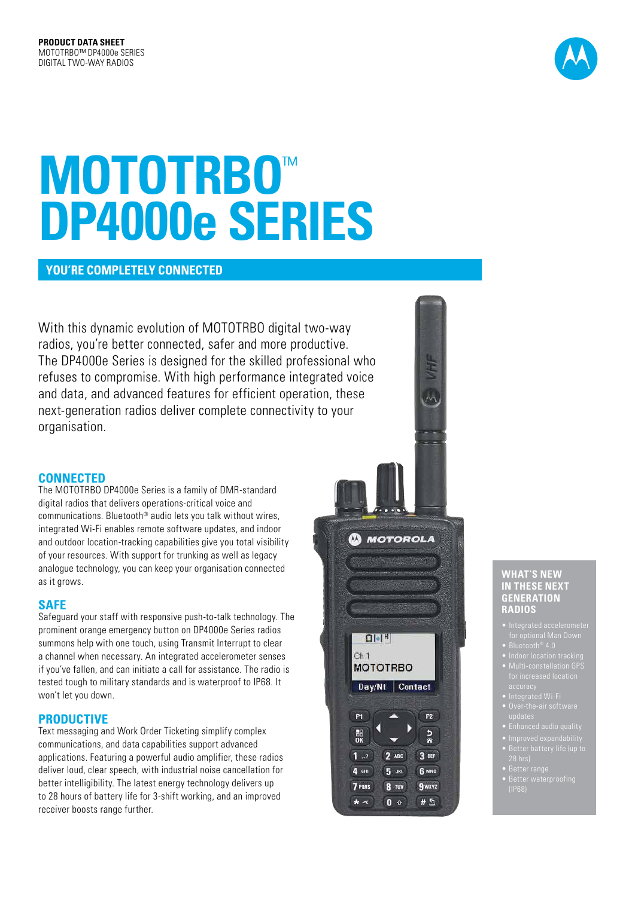

# **MOTOTRBO**™ **DP4000e SERIES**

## **YOU'RE COMPLETELY CONNECTED**

With this dynamic evolution of MOTOTRBO digital two-way radios, you're better connected, safer and more productive. The DP4000e Series is designed for the skilled professional who refuses to compromise. With high performance integrated voice and data, and advanced features for efficient operation, these next-generation radios deliver complete connectivity to your organisation.

## **CONNECTED**

The MOTOTRBO DP4000e Series is a family of DMR-standard digital radios that delivers operations-critical voice and communications. Bluetooth® audio lets you talk without wires, integrated Wi-Fi enables remote software updates, and indoor and outdoor location-tracking capabilities give you total visibility of your resources. With support for trunking as well as legacy analogue technology, you can keep your organisation connected as it grows.

## **SAFE**

Safeguard your staff with responsive push-to-talk technology. The prominent orange emergency button on DP4000e Series radios summons help with one touch, using Transmit Interrupt to clear a channel when necessary. An integrated accelerometer senses if you've fallen, and can initiate a call for assistance. The radio is tested tough to military standards and is waterproof to IP68. It won't let you down.

## **PRODUCTIVE**

Text messaging and Work Order Ticketing simplify complex communications, and data capabilities support advanced applications. Featuring a powerful audio amplifier, these radios deliver loud, clear speech, with industrial noise cancellation for better intelligibility. The latest energy technology delivers up to 28 hours of battery life for 3-shift working, and an improved receiver boosts range further.



#### **WHAT'S NEW IN THESE NEXT GENERATION RADIOS**

- 
- 
- 
- 
- 
- 
- 
- 
- 
- zo ma<sub>r</sub><br>Better range
-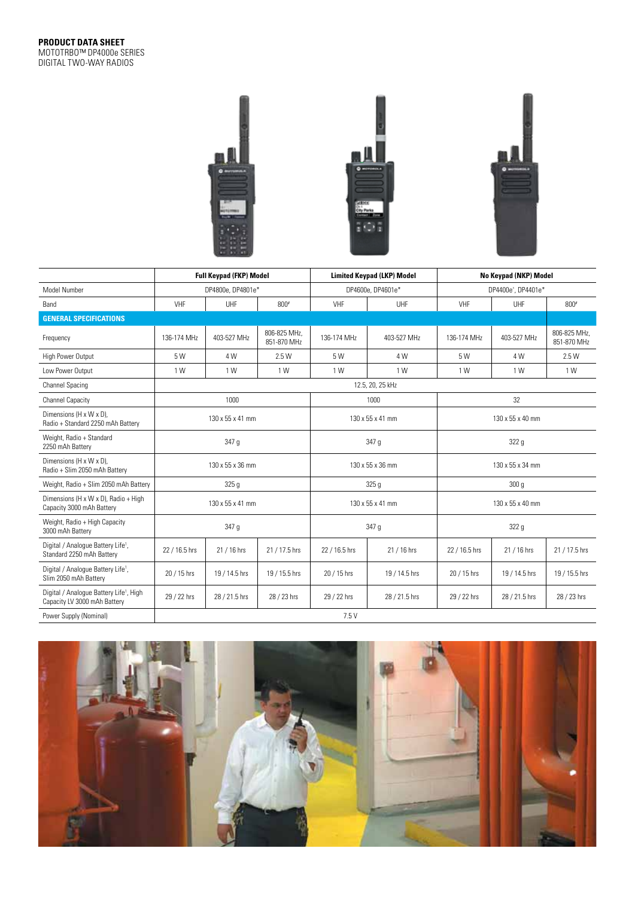

|                                                                                     | <b>Full Keypad (FKP) Model</b> |               |                             |                   | <b>Limited Keypad (LKP) Model</b> | No Keypad (NKP) Model           |               |                             |  |
|-------------------------------------------------------------------------------------|--------------------------------|---------------|-----------------------------|-------------------|-----------------------------------|---------------------------------|---------------|-----------------------------|--|
| Model Number                                                                        | DP4800e, DP4801e*              |               |                             | DP4600e, DP4601e* |                                   | DP4400e <sup>^</sup> , DP4401e* |               |                             |  |
| Band                                                                                | VHF                            | UHF           | $800*$                      | VHF               | UHF                               | VHF                             | <b>UHF</b>    | $800*$                      |  |
| <b>GENERAL SPECIFICATIONS</b>                                                       |                                |               |                             |                   |                                   |                                 |               |                             |  |
| Frequency                                                                           | 136-174 MHz                    | 403-527 MHz   | 806-825 MHz.<br>851-870 MHz | 136-174 MHz       | 403-527 MHz                       | 136-174 MHz                     | 403-527 MHz   | 806-825 MHz.<br>851-870 MHz |  |
| High Power Output                                                                   | 5 W                            | 4 W           | 2.5 W                       | 5 W               | 4 W                               | 5 W                             | 4 W           | 2.5W                        |  |
| Low Power Output                                                                    | 1 W                            | 1 W           | 1 W                         | 1 W               | 1 W                               | 1 W                             | 1 W           | 1 W                         |  |
| <b>Channel Spacing</b>                                                              | 12.5, 20, 25 kHz               |               |                             |                   |                                   |                                 |               |                             |  |
| <b>Channel Capacity</b>                                                             | 1000                           |               |                             |                   | 1000                              | 32                              |               |                             |  |
| Dimensions (H x W x D),<br>Radio + Standard 2250 mAh Battery                        | 130 x 55 x 41 mm               |               |                             | 130 x 55 x 41 mm  |                                   | 130 x 55 x 40 mm                |               |                             |  |
| Weight, Radio + Standard<br>2250 mAh Battery                                        | 347 g                          |               |                             | 347 g             |                                   | 322 g                           |               |                             |  |
| Dimensions (H x W x D).<br>Radio + Slim 2050 mAh Battery                            | 130 x 55 x 36 mm               |               |                             | 130 x 55 x 36 mm  |                                   | 130 x 55 x 34 mm                |               |                             |  |
| Weight, Radio + Slim 2050 mAh Battery                                               | 325 <sub>g</sub>               |               |                             | 325 <sub>g</sub>  |                                   | 300 <sub>g</sub>                |               |                             |  |
| Dimensions (H x W x D), Radio + High<br>Capacity 3000 mAh Battery                   | 130 x 55 x 41 mm               |               |                             | 130 x 55 x 41 mm  |                                   | 130 x 55 x 40 mm                |               |                             |  |
| Weight, Radio + High Capacity<br>3000 mAh Battery                                   | 347 g                          |               |                             | 347 g             |                                   | 322 g                           |               |                             |  |
| Digital / Analogue Battery Life <sup>1</sup> ,<br>Standard 2250 mAh Battery         | 22 / 16.5 hrs                  | 21 / 16 hrs   | 21 / 17.5 hrs               | 22 / 16.5 hrs     | 21 / 16 hrs                       | 22 / 16.5 hrs                   | 21 / 16 hrs   | 21 / 17.5 hrs               |  |
| Digital / Analogue Battery Life <sup>1</sup> ,<br>Slim 2050 mAh Battery             | 20 / 15 hrs                    | 19 / 14.5 hrs | 19 / 15.5 hrs               | 20 / 15 hrs       | 19 / 14.5 hrs                     | 20 / 15 hrs                     | 19 / 14.5 hrs | 19 / 15.5 hrs               |  |
| Digital / Analogue Battery Life <sup>1</sup> , High<br>Capacity LV 3000 mAh Battery | 29 / 22 hrs                    | 28 / 21.5 hrs | 28 / 23 hrs                 | 29 / 22 hrs       | 28 / 21.5 hrs                     | 29 / 22 hrs                     | 28 / 21.5 hrs | 28 / 23 hrs                 |  |
| Power Supply (Nominal)                                                              | 7.5V                           |               |                             |                   |                                   |                                 |               |                             |  |

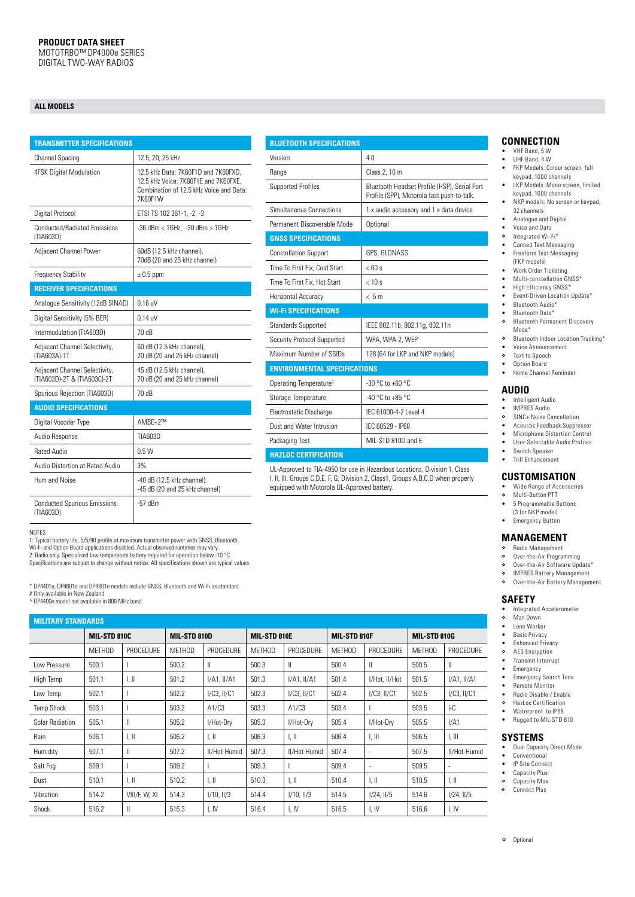#### **ALL MODELS**

| <b>TRANSMITTER SPECIFICATIONS</b>                            |                                                                                                                                   |  |  |  |  |  |
|--------------------------------------------------------------|-----------------------------------------------------------------------------------------------------------------------------------|--|--|--|--|--|
| <b>Channel Spacing</b>                                       | 12.5, 20, 25 kHz                                                                                                                  |  |  |  |  |  |
| 4FSK Digital Modulation                                      | 12.5 kHz Data: 7K60F1D and 7K60FXD.<br>12.5 kHz Voice: 7K60F1E and 7K60FXE.<br>Combination of 12.5 kHz Voice and Data:<br>7K60F1W |  |  |  |  |  |
| Digital Protocol                                             | ETSI TS 102 361-1, -2, -3                                                                                                         |  |  |  |  |  |
| <b>Conducted/Radiated Emissions</b><br>(TIA603D)             | $-36$ dBm $< 1$ GHz. $-30$ dBm $> 1$ GHz                                                                                          |  |  |  |  |  |
| Adjacent Channel Power                                       | 60dB (12.5 kHz channel),<br>70dB (20 and 25 kHz channel)                                                                          |  |  |  |  |  |
| <b>Frequency Stability</b>                                   | $\pm$ 0.5 ppm                                                                                                                     |  |  |  |  |  |
| <b>RECEIVER SPECIFICATIONS</b>                               |                                                                                                                                   |  |  |  |  |  |
| Analoque Sensitivity (12dB SINAD)                            | $0.16$ uV                                                                                                                         |  |  |  |  |  |
| Digital Sensitivity (5% BER)                                 | $0.14$ uV                                                                                                                         |  |  |  |  |  |
| Intermodulation (TIA603D)                                    | 70 dB                                                                                                                             |  |  |  |  |  |
| Adjacent Channel Selectivity,<br>(TIA603A)-1T                | 60 dB (12.5 kHz channel),<br>70 dB (20 and 25 kHz channel)                                                                        |  |  |  |  |  |
| Adjacent Channel Selectivity,<br>(TIA603D)-2T & (TIA603C)-2T | 45 dB (12.5 kHz channel),<br>70 dB (20 and 25 kHz channel)                                                                        |  |  |  |  |  |
| Spurious Rejection (TIA603D)                                 | 70 dB                                                                                                                             |  |  |  |  |  |
| <b>AUDIO SPECIFICATIONS</b>                                  |                                                                                                                                   |  |  |  |  |  |
| Digital Vocoder Type                                         | AMBF+2™                                                                                                                           |  |  |  |  |  |
| Audio Response                                               | TIA603D                                                                                                                           |  |  |  |  |  |
| <b>Rated Audio</b>                                           | 0.5W                                                                                                                              |  |  |  |  |  |
| Audio Distortion at Rated Audio                              | 3%                                                                                                                                |  |  |  |  |  |
| Hum and Noise                                                | -40 dB (12.5 kHz channel),<br>-45 dB (20 and 25 kHz channel)                                                                      |  |  |  |  |  |
| <b>Conducted Spurious Emissions</b><br>(TIA603D)             | $-57$ dBm                                                                                                                         |  |  |  |  |  |

| <b>BLUETOOTH SPECIFICATIONS</b>                                           |                                                                                            |  |  |  |  |  |  |
|---------------------------------------------------------------------------|--------------------------------------------------------------------------------------------|--|--|--|--|--|--|
| Version                                                                   | 4.0                                                                                        |  |  |  |  |  |  |
| Range                                                                     | Class 2, 10 m                                                                              |  |  |  |  |  |  |
| <b>Supported Profiles</b>                                                 | Bluetooth Headset Profile (HSP), Serial Port<br>Profile (SPP), Motorola fast push-to-talk. |  |  |  |  |  |  |
| Simultaneous Connections                                                  | 1 x audio accessory and 1 x data device                                                    |  |  |  |  |  |  |
| Permanent Discoverable Mode                                               | Optional                                                                                   |  |  |  |  |  |  |
| <b>GNSS SPECIFICATIONS</b>                                                |                                                                                            |  |  |  |  |  |  |
| <b>Constellation Support</b>                                              | GPS, GLONASS                                                                               |  |  |  |  |  |  |
| Time To First Fix. Cold Start                                             | $<$ 60 s                                                                                   |  |  |  |  |  |  |
| Time To First Fix. Hot Start                                              | < 10 s                                                                                     |  |  |  |  |  |  |
| Horizontal Accuracy                                                       | < 5m                                                                                       |  |  |  |  |  |  |
| <b>Wi-Fi SPECIFICATIONS</b>                                               |                                                                                            |  |  |  |  |  |  |
| <b>Standards Supported</b>                                                | IEEE 802.11b, 802.11g, 802.11n                                                             |  |  |  |  |  |  |
| Security Protocol Supported                                               | WPA, WPA-2, WEP                                                                            |  |  |  |  |  |  |
| Maximum Number of SSIDs                                                   | 128 (64 for LKP and NKP models)                                                            |  |  |  |  |  |  |
| <b>ENVIRONMENTAL SPECIFICATIONS</b>                                       |                                                                                            |  |  |  |  |  |  |
| Operating Temperature <sup>2</sup>                                        | $-30 °C$ to $+60 °C$                                                                       |  |  |  |  |  |  |
| Storage Temperature                                                       | $-40$ °C to $+85$ °C                                                                       |  |  |  |  |  |  |
| Electrostatic Discharge                                                   | IFC 61000-4-2 Level 4                                                                      |  |  |  |  |  |  |
| Dust and Water Intrusion                                                  | IFC 60529 - IP68                                                                           |  |  |  |  |  |  |
| Packaging Test                                                            | MII-STD 810D and F                                                                         |  |  |  |  |  |  |
| <b>HAZLOC CERTIFICATION</b>                                               |                                                                                            |  |  |  |  |  |  |
| UL-Approved to TIA-4950 for use in Hazardous Locations, Division 1, Class |                                                                                            |  |  |  |  |  |  |

UL-Approved to TIA-4950 for use in Hazardous Locations, Division 1, Class I, II, III, Groups C,D,E, F, G; Division 2, Class1, Groups A,B,C,D when properly equipped with Motorola UL-Approved battery.

NOTES

1: Typical battery life, 5/5/90 profile at maximum transmitter power with GNSS, Bluetooth,<br>Wi-Fi and Option Board applications disabled. Actual observed runtimes may vary.<br>2: Radio only. Specialised low-temperature battery

Specifications are subject to change without notice. All specifications shown are typical values.

\* DP4401e, DP4601e and DP4801e models include GNSS, Bluetooth and Wi-Fi as standard. # Only available in New Zealand.

^ DP4400e model not available in 800 MHz band.

| <b>MILITARY STANDARDS</b> |              |                           |               |                  |               |                  |               |                          |                     |                           |
|---------------------------|--------------|---------------------------|---------------|------------------|---------------|------------------|---------------|--------------------------|---------------------|---------------------------|
|                           | MIL-STD 810C |                           | MIL-STD 810D  |                  | MIL-STD 810E  |                  | MIL-STD 810F  |                          | <b>MIL-STD 810G</b> |                           |
|                           | METHOD       | PROCEDURE                 | <b>MFTHOD</b> | PROCEDURE        | <b>METHOD</b> | PROCEDURE        | <b>MFTHOD</b> | PROCEDURE                | <b>METHOD</b>       | PROCEDURE                 |
| Low Pressure              | 500.1        |                           | 500.2         | Ш                | 500.3         | Ш                | 500.4         | $\mathbf{II}$            | 500.5               | $\mathbf{I}$              |
| High Temp                 | 501.1        | $\parallel$ , $\parallel$ | 501.2         | $I/A1$ , $I/A1$  | 501.3         | $I/A1$ , $II/A1$ | 501.4         | I/Hot, II/Hot            | 501.5               | I/A1, II/A1               |
| Low Temp                  | 502.1        |                           | 502.2         | $I/C3$ , $II/C1$ | 502.3         | $I/C3$ , $II/C1$ | 502.4         | $I/C3$ , $II/C1$         | 502.5               | $I/C3$ , $II/C1$          |
| <b>Temp Shock</b>         | 503.1        |                           | 503.2         | A1/C3            | 503.3         | A1/C3            | 503.4         |                          | 503.5               | I-C                       |
| <b>Solar Radiation</b>    | 505.1        | $\mathbf{I}$              | 505.2         | I/Hot-Dry        | 505.3         | I/Hot-Drv        | 505.4         | I/Hot-Drv                | 505.5               | I/A1                      |
| Rain                      | 506.1        | $\parallel$ , $\parallel$ | 506.2         | I, II            | 506.3         | 1, II            | 506.4         | I, III                   | 506.5               | I, III                    |
| Humidity                  | 507.1        | $\mathbf{I}$              | 507.2         | II/Hot-Humid     | 507.3         | II/Hot-Humid     | 507.4         | $\overline{\phantom{a}}$ | 507.5               | II/Hot-Humid              |
| Salt Fog                  | 509.1        |                           | 509.2         |                  | 509.3         |                  | 509.4         |                          | 509.5               |                           |
| Dust                      | 510.1        | $\parallel$ . $\parallel$ | 510.2         | LШ               | 510.3         | 1, II            | 510.4         | l, II                    | 510.5               | $\parallel$ , $\parallel$ |
| Vibration                 | 514.2        | VIII/F, W, XI             | 514.3         | $I/10$ , $II/3$  | 514.4         | I/10, II/3       | 514.5         | $1/24$ , $11/5$          | 514.6               | 1/24, 11/5                |
| Shock                     | 516.2        | $\mathbf{I}$              | 516.3         | I, IV            | 516.4         | I, IV            | 516.5         | I, IV                    | 516.6               | I, IV                     |

# **CONNECTION**

- • VHF Band, 5 W
- UHF Band, 4 W
- **FKP Models: Colour screen, full** keypad, 1000 channels • LKP Models: Mono screen, limited
- keypad, 1000 channels NKP models: No screen or keypad,
- 32 channels • Analogue and Digital
- 
- Voice and Data<br>• Voice and Data Integrated Wi-Fi\*
- Canned Text Messaging
- Freeform Text Messaging (FKP models) • Work Order Ticketing
- Multi-constellation GNSS\*
- 
- High Efficiency GNSS\* • Event-Driven Location Update\*
- • Bluetooth Audio\*
- Bluetooth Data\*<br>9 Bluetooth Perma
- Bluetooth Permanent Discovery Mode\*
- $\circ$ Bluetooth Indoor Location Tracking\*
- Voice Announcement<br>• Voice Announcement
- Text to Speech
- Option Board • Home Channel Reminder

# **AUDIO**

- Intelligent Audio
- • IMPRES Audio
- SINC+ Noise Cancellation  $\circ$
- Acoustic Feedback Suppressor<br>• Microphone Distortion Control
- **Microphone Distortion Control**
- User-Selectable Audio Profiles Switch Speaker
- **Trill Enhancement**

#### **CUSTOMISATION**

- Wide Range of Accessories<br>• Multi-Rutton PTT
- Multi-Button PTT
- • 5 Programmable Buttons
- (3 for NKP model) **Emergency Button**

# **MANAGEMENT**<br>• Radio Management

- Radio Management
- $\circ$ Over-the-Air Programming  $\circ$
- Over-the-Air Software Update\* IMPRES Battery Management
- $\circ$ Over-the-Air Battery Management

# **SAFETY**

- Integrated Accelerometer<br>• Man Down
- Man Down
- Lone Worker
- **Basic Privacy**
- Enhanced Privacy AES Encryption
- • Transmit Interrupt
- **Emergency**
- • Emergency Search Tone
- **Bemote Monitor**
- Radio Disable / Enable<br>• HazLoc Certification
- HazLoc Certification
- Waterproof to IP68 Rugged to MIL-STD 810

# **SYSTEMS**

- Dual Capacity Direct Mode
- • Conventional **IP Site Connect**
- 
- Capacity Plus<br>• Capacity Max Capacity Max
- $\circ$ Connect Plus